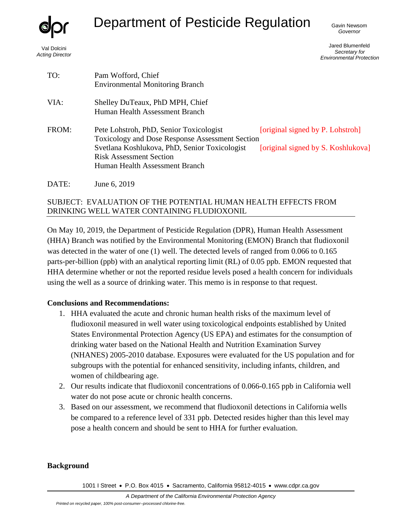

Val Dolcini *Acting Director*

# Department of Pesticide Regulation

Gavin Newsom *Governor*

Jared Blumenfeld *Secretary for Environmental Protection*

| TO:   | Pam Wofford, Chief<br><b>Environmental Monitoring Branch</b>                                                                                                                                                           |                                                                        |
|-------|------------------------------------------------------------------------------------------------------------------------------------------------------------------------------------------------------------------------|------------------------------------------------------------------------|
| VIA:  | Shelley DuTeaux, PhD MPH, Chief<br>Human Health Assessment Branch                                                                                                                                                      |                                                                        |
| FROM: | Pete Lohstroh, PhD, Senior Toxicologist<br><b>Toxicology and Dose Response Assessment Section</b><br>Svetlana Koshlukova, PhD, Senior Toxicologist<br><b>Risk Assessment Section</b><br>Human Health Assessment Branch | [original signed by P. Lohstroh]<br>[original signed by S. Koshlukova] |
| DATE: | June 6, 2019                                                                                                                                                                                                           |                                                                        |

# SUBJECT: EVALUATION OF THE POTENTIAL HUMAN HEALTH EFFECTS FROM DRINKING WELL WATER CONTAINING FLUDIOXONIL

On May 10, 2019, the Department of Pesticide Regulation (DPR), Human Health Assessment (HHA) Branch was notified by the Environmental Monitoring (EMON) Branch that fludioxonil was detected in the water of one (1) well. The detected levels of ranged from 0.066 to 0.165 parts-per-billion (ppb) with an analytical reporting limit (RL) of 0.05 ppb. EMON requested that HHA determine whether or not the reported residue levels posed a health concern for individuals using the well as a source of drinking water. This memo is in response to that request.

#### **Conclusions and Recommendations:**

- 1. HHA evaluated the acute and chronic human health risks of the maximum level of fludioxonil measured in well water using toxicological endpoints established by United States Environmental Protection Agency (US EPA) and estimates for the consumption of drinking water based on the National Health and Nutrition Examination Survey (NHANES) 2005-2010 database. Exposures were evaluated for the US population and for subgroups with the potential for enhanced sensitivity, including infants, children, and women of childbearing age.
- 2. Our results indicate that fludioxonil concentrations of 0.066-0.165 ppb in California well water do not pose acute or chronic health concerns.
- 3. Based on our assessment, we recommend that fludioxonil detections in California wells be compared to a reference level of 331 ppb. Detected resides higher than this level may pose a health concern and should be sent to HHA for further evaluation.

#### **Background**

1001 I Street • P.O. Box 4015 • Sacramento, California 95812-4015 • [www.cdpr.ca.gov](http://www.cdpr.ca.gov/)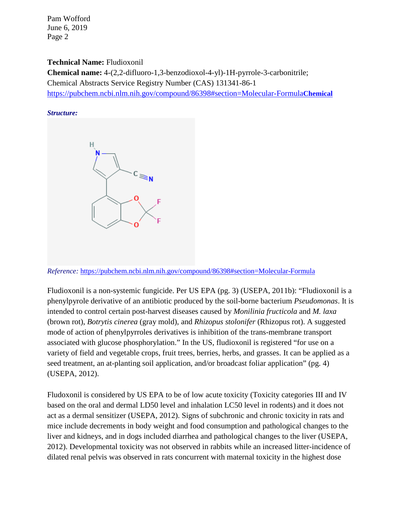#### **Technical Name:** Fludioxonil

**Chemical name:** 4-(2,2-difluoro-1,3-benzodioxol-4-yl)-1H-pyrrole-3-carbonitrile; Chemical Abstracts Service Registry Number (CAS) 131341-86-1 [https://pubchem.ncbi.nlm.nih.gov/compound/86398#section=Molecular-Formula](https://pubchem.ncbi.nlm.nih.gov/compound/86398#section=Molecular-FormulaChemical)**Chemical**

#### *Structure:*



*Reference:* <https://pubchem.ncbi.nlm.nih.gov/compound/86398#section=Molecular-Formula>

Fludioxonil is a non-systemic fungicide. Per US EPA (pg. 3) (USEPA, 2011b): "Fludioxonil is a phenylpyrole derivative of an antibiotic produced by the soil-borne bacterium *Pseudomonas*. It is intended to control certain post-harvest diseases caused by *Monilinia fructicola* and *M. laxa* (brown rot), *Botrytis cinerea* (gray mold), and *Rhizopus stolonifer* (Rhizopus rot). A suggested mode of action of phenylpyrroles derivatives is inhibition of the trans-membrane transport associated with glucose phosphorylation." In the US, fludioxonil is registered "for use on a variety of field and vegetable crops, fruit trees, berries, herbs, and grasses. It can be applied as a seed treatment, an at-planting soil application, and/or broadcast foliar application" (pg. 4) (USEPA, 2012).

Fludoxonil is considered by US EPA to be of low acute toxicity (Toxicity categories III and IV based on the oral and dermal LD50 level and inhalation LC50 level in rodents) and it does not act as a dermal sensitizer (USEPA, 2012). Signs of subchronic and chronic toxicity in rats and mice include decrements in body weight and food consumption and pathological changes to the liver and kidneys, and in dogs included diarrhea and pathological changes to the liver (USEPA, 2012). Developmental toxicity was not observed in rabbits while an increased litter-incidence of dilated renal pelvis was observed in rats concurrent with maternal toxicity in the highest dose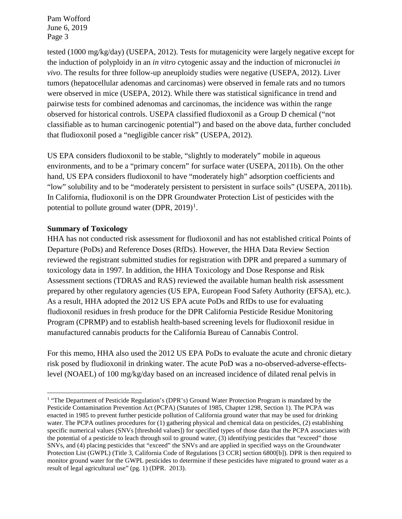tested (1000 mg/kg/day) (USEPA, 2012). Tests for mutagenicity were largely negative except for the induction of polyploidy in an *in vitro* cytogenic assay and the induction of micronuclei *in vivo*. The results for three follow-up aneuploidy studies were negative (USEPA, 2012). Liver tumors (hepatocellular adenomas and carcinomas) were observed in female rats and no tumors were observed in mice (USEPA, 2012). While there was statistical significance in trend and pairwise tests for combined adenomas and carcinomas, the incidence was within the range observed for historical controls. USEPA classified fludioxonil as a Group D chemical ("not classifiable as to human carcinogenic potential") and based on the above data, further concluded that fludioxonil posed a "negligible cancer risk" (USEPA, 2012).

US EPA considers fludioxonil to be stable, "slightly to moderately" mobile in aqueous environments, and to be a "primary concern" for surface water (USEPA, 2011b). On the other hand, US EPA considers fludioxonil to have "moderately high" adsorption coefficients and "low" solubility and to be "moderately persistent to persistent in surface soils" (USEPA, 2011b). In California, fludioxonil is on the DPR Groundwater Protection List of pesticides with the potential to pollute ground water (DPR,  $2019$  $2019$  $2019$ )<sup>1</sup>.

#### **Summary of Toxicology**

 $\overline{a}$ 

HHA has not conducted risk assessment for fludioxonil and has not established critical Points of Departure (PoDs) and Reference Doses (RfDs). However, the HHA Data Review Section reviewed the registrant submitted studies for registration with DPR and prepared a summary of toxicology data in 1997. In addition, the HHA Toxicology and Dose Response and Risk Assessment sections (TDRAS and RAS) reviewed the available human health risk assessment prepared by other regulatory agencies (US EPA, European Food Safety Authority (EFSA), etc.). As a result, HHA adopted the 2012 US EPA acute PoDs and RfDs to use for evaluating fludioxonil residues in fresh produce for the DPR California Pesticide Residue Monitoring Program (CPRMP) and to establish health-based screening levels for fludioxonil residue in manufactured cannabis products for the California Bureau of Cannabis Control.

For this memo, HHA also used the 2012 US EPA PoDs to evaluate the acute and chronic dietary risk posed by fludioxonil in drinking water. The acute PoD was a no-observed-adverse-effectslevel (NOAEL) of 100 mg/kg/day based on an increased incidence of dilated renal pelvis in

<span id="page-2-0"></span><sup>&</sup>lt;sup>1</sup> "The Department of Pesticide Regulation's (DPR's) Ground Water Protection Program is mandated by the Pesticide Contamination Prevention Act (PCPA) (Statutes of 1985, Chapter 1298, Section 1). The PCPA was enacted in 1985 to prevent further pesticide pollution of California ground water that may be used for drinking water. The PCPA outlines procedures for (1) gathering physical and chemical data on pesticides, (2) establishing specific numerical values (SNVs [threshold values]) for specified types of those data that the PCPA associates with the potential of a pesticide to leach through soil to ground water, (3) identifying pesticides that "exceed" those SNVs, and (4) placing pesticides that "exceed" the SNVs and are applied in specified ways on the Groundwater Protection List (GWPL) (Title 3, California Code of Regulations [3 CCR] section 6800[b]). DPR is then required to monitor ground water for the GWPL pesticides to determine if these pesticides have migrated to ground water as a result of legal agricultural use" (pg. 1) (DPR. 2013).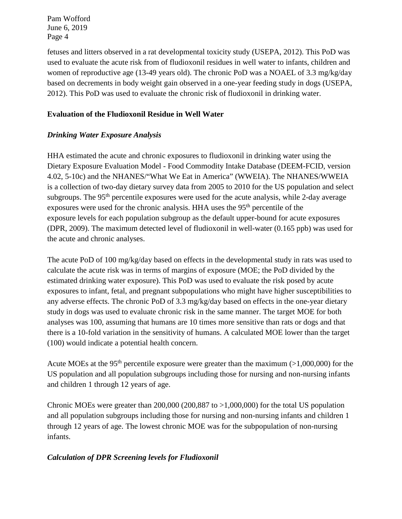fetuses and litters observed in a rat developmental toxicity study (USEPA, 2012). This PoD was used to evaluate the acute risk from of fludioxonil residues in well water to infants, children and women of reproductive age (13-49 years old). The chronic PoD was a NOAEL of 3.3 mg/kg/day based on decrements in body weight gain observed in a one-year feeding study in dogs (USEPA, 2012). This PoD was used to evaluate the chronic risk of fludioxonil in drinking water.

## **Evaluation of the Fludioxonil Residue in Well Water**

# *Drinking Water Exposure Analysis*

HHA estimated the acute and chronic exposures to fludioxonil in drinking water using the Dietary Exposure Evaluation Model - Food Commodity Intake Database (DEEM-FCID, version 4.02, 5-10c) and the NHANES/"What We Eat in America" (WWEIA). The NHANES/WWEIA is a collection of two-day dietary survey data from 2005 to 2010 for the US population and select subgroups. The 95<sup>th</sup> percentile exposures were used for the acute analysis, while 2-day average exposures were used for the chronic analysis. HHA uses the  $95<sup>th</sup>$  percentile of the exposure levels for each population subgroup as the default upper-bound for acute exposures (DPR, 2009). The maximum detected level of fludioxonil in well-water (0.165 ppb) was used for the acute and chronic analyses.

The acute PoD of 100 mg/kg/day based on effects in the developmental study in rats was used to calculate the acute risk was in terms of margins of exposure (MOE; the PoD divided by the estimated drinking water exposure). This PoD was used to evaluate the risk posed by acute exposures to infant, fetal, and pregnant subpopulations who might have higher susceptibilities to any adverse effects. The chronic PoD of 3.3 mg/kg/day based on effects in the one-year dietary study in dogs was used to evaluate chronic risk in the same manner. The target MOE for both analyses was 100, assuming that humans are 10 times more sensitive than rats or dogs and that there is a 10-fold variation in the sensitivity of humans. A calculated MOE lower than the target (100) would indicate a potential health concern.

Acute MOEs at the 95<sup>th</sup> percentile exposure were greater than the maximum ( $>1,000,000$ ) for the US population and all population subgroups including those for nursing and non-nursing infants and children 1 through 12 years of age.

Chronic MOEs were greater than 200,000 (200,887 to  $>1,000,000$ ) for the total US population and all population subgroups including those for nursing and non-nursing infants and children 1 through 12 years of age. The lowest chronic MOE was for the subpopulation of non-nursing infants.

#### *Calculation of DPR Screening levels for Fludioxonil*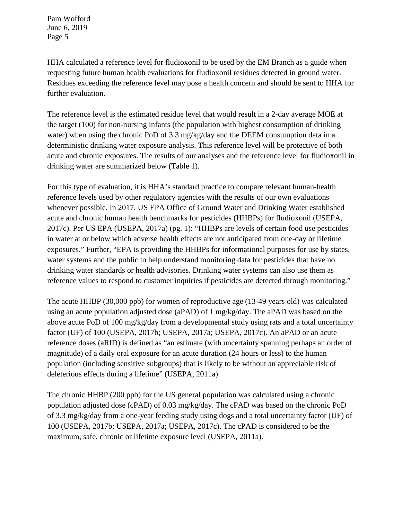HHA calculated a reference level for fludioxonil to be used by the EM Branch as a guide when requesting future human health evaluations for fludioxonil residues detected in ground water. Residues exceeding the reference level may pose a health concern and should be sent to HHA for further evaluation.

The reference level is the estimated residue level that would result in a 2-day average MOE at the target (100) for non-nursing infants (the population with highest consumption of drinking water) when using the chronic PoD of 3.3 mg/kg/day and the DEEM consumption data in a deterministic drinking water exposure analysis. This reference level will be protective of both acute and chronic exposures. The results of our analyses and the reference level for fludioxonil in drinking water are summarized below (Table 1).

For this type of evaluation, it is HHA's standard practice to compare relevant human-health reference levels used by other regulatory agencies with the results of our own evaluations whenever possible. In 2017, US EPA Office of Ground Water and Drinking Water established acute and chronic human health benchmarks for pesticides (HHBPs) for fludioxonil (USEPA, 2017c). Per US EPA (USEPA, 2017a) (pg. 1): "HHBPs are levels of certain food use pesticides in water at or below which adverse health effects are not anticipated from one-day or lifetime exposures." Further, "EPA is providing the HHBPs for informational purposes for use by states, water systems and the public to help understand monitoring data for pesticides that have no drinking water standards or health advisories. Drinking water systems can also use them as reference values to respond to customer inquiries if pesticides are detected through monitoring."

The acute HHBP (30,000 ppb) for women of reproductive age (13-49 years old) was calculated using an acute population adjusted dose (aPAD) of 1 mg/kg/day. The aPAD was based on the above acute PoD of 100 mg/kg/day from a developmental study using rats and a total uncertainty factor (UF) of 100 (USEPA, 2017b; USEPA, 2017a; USEPA, 2017c). An aPAD or an acute reference doses (aRfD) is defined as "an estimate (with uncertainty spanning perhaps an order of magnitude) of a daily oral exposure for an acute duration (24 hours or less) to the human population (including sensitive subgroups) that is likely to be without an appreciable risk of deleterious effects during a lifetime" (USEPA, 2011a).

The chronic HHBP (200 ppb) for the US general population was calculated using a chronic population adjusted dose (cPAD) of 0.03 mg/kg/day. The cPAD was based on the chronic PoD of 3.3 mg/kg/day from a one-year feeding study using dogs and a total uncertainty factor (UF) of 100 (USEPA, 2017b; USEPA, 2017a; USEPA, 2017c). The cPAD is considered to be the maximum, safe, chronic or lifetime exposure level (USEPA, 2011a).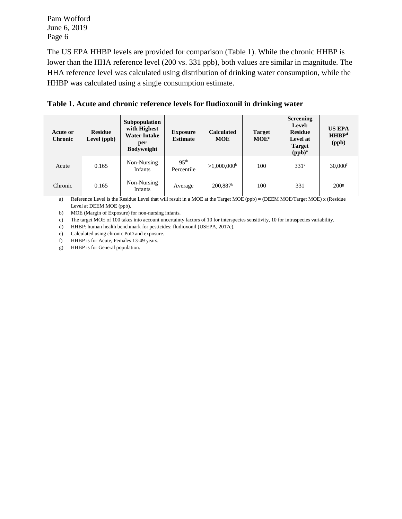The US EPA HHBP levels are provided for comparison (Table 1). While the chronic HHBP is lower than the HHA reference level (200 vs. 331 ppb), both values are similar in magnitude. The HHA reference level was calculated using distribution of drinking water consumption, while the HHBP was calculated using a single consumption estimate.

|  |  |  | Table 1. Acute and chronic reference levels for fludioxonil in drinking water |
|--|--|--|-------------------------------------------------------------------------------|
|--|--|--|-------------------------------------------------------------------------------|

| Acute or<br><b>Chronic</b> | <b>Residue</b><br>Level (ppb) | Subpopulation<br>with Highest<br><b>Water Intake</b><br>per<br><b>Bodyweight</b> | <b>Exposure</b><br><b>Estimate</b> | <b>Calculated</b><br><b>MOE</b> | <b>Target</b><br>MOE <sup>c</sup> | <b>Screening</b><br>Level:<br><b>Residue</b><br>Level at<br><b>Target</b><br>(ppb) <sup>a</sup> | <b>US EPA</b><br>HHBP <sup>d</sup><br>(ppb) |
|----------------------------|-------------------------------|----------------------------------------------------------------------------------|------------------------------------|---------------------------------|-----------------------------------|-------------------------------------------------------------------------------------------------|---------------------------------------------|
| Acute                      | 0.165                         | Non-Nursing<br><b>Infants</b>                                                    | 95 <sup>th</sup><br>Percentile     | >1,000,000 <sup>b</sup>         | 100                               | 331 <sup>e</sup>                                                                                | $30,000$ <sup>f</sup>                       |
| Chronic                    | 0.165                         | Non-Nursing<br><b>Infants</b>                                                    | Average                            | $200,887$ <sup>b</sup>          | 100                               | 331                                                                                             | 200 <sup>g</sup>                            |

a) Reference Level is the Residue Level that will result in a MOE at the Target MOE (ppb) = (DEEM MOE/Target MOE) x (Residue Level at DEEM MOE (ppb).

b) MOE (Margin of Exposure) for non-nursing infants.

c) The target MOE of 100 takes into account uncertainty factors of 10 for interspecies sensitivity, 10 for intraspecies variability.

d) HHBP: human health benchmark for pesticides: fludioxonil (USEPA, 2017c).

e) Calculated using chronic PoD and exposure.

f) HHBP is for Acute, Females 13-49 years.

g) HHBP is for General population.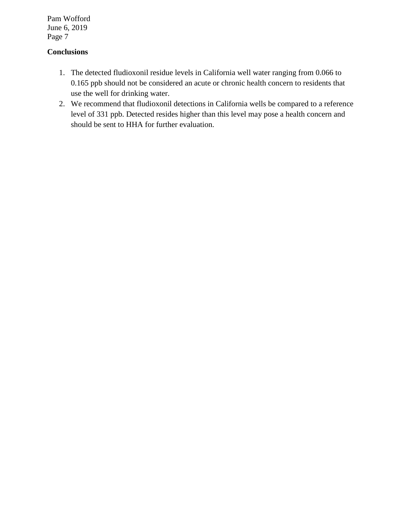# **Conclusions**

- 1. The detected fludioxonil residue levels in California well water ranging from 0.066 to 0.165 ppb should not be considered an acute or chronic health concern to residents that use the well for drinking water.
- 2. We recommend that fludioxonil detections in California wells be compared to a reference level of 331 ppb. Detected resides higher than this level may pose a health concern and should be sent to HHA for further evaluation.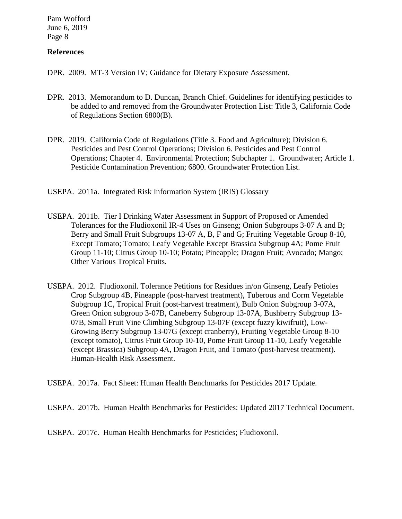#### **References**

DPR. 2009. MT-3 Version IV; Guidance for Dietary Exposure Assessment.

- DPR. 2013. Memorandum to D. Duncan, Branch Chief. Guidelines for identifying pesticides to be added to and removed from the Groundwater Protection List: Title 3, California Code of Regulations Section 6800(B).
- DPR. 2019. California Code of Regulations (Title 3. Food and Agriculture); Division 6. Pesticides and Pest Control Operations; Division 6. Pesticides and Pest Control Operations; Chapter 4. Environmental Protection; Subchapter 1. Groundwater; Article 1. Pesticide Contamination Prevention; 6800. Groundwater Protection List.
- USEPA. 2011a. Integrated Risk Information System (IRIS) Glossary
- USEPA. 2011b. Tier I Drinking Water Assessment in Support of Proposed or Amended Tolerances for the Fludioxonil IR-4 Uses on Ginseng; Onion Subgroups 3-07 A and B; Berry and Small Fruit Subgroups 13-07 A, B, F and G; Fruiting Vegetable Group 8-10, Except Tomato; Tomato; Leafy Vegetable Except Brassica Subgroup 4A; Pome Fruit Group 11-10; Citrus Group 10-10; Potato; Pineapple; Dragon Fruit; Avocado; Mango; Other Various Tropical Fruits.
- USEPA. 2012. Fludioxonil. Tolerance Petitions for Residues in/on Ginseng, Leafy Petioles Crop Subgroup 4B, Pineapple (post-harvest treatment), Tuberous and Corm Vegetable Subgroup 1C, Tropical Fruit (post-harvest treatment), Bulb Onion Subgroup 3-07A, Green Onion subgroup 3-07B, Caneberry Subgroup 13-07A, Bushberry Subgroup 13- 07B, Small Fruit Vine Climbing Subgroup 13-07F (except fuzzy kiwifruit), Low-Growing Berry Subgroup 13-07G (except cranberry), Fruiting Vegetable Group 8-10 (except tomato), Citrus Fruit Group 10-10, Pome Fruit Group 11-10, Leafy Vegetable (except Brassica) Subgroup 4A, Dragon Fruit, and Tomato (post-harvest treatment). Human-Health Risk Assessment.
- USEPA. 2017a. Fact Sheet: Human Health Benchmarks for Pesticides 2017 Update.
- USEPA. 2017b. Human Health Benchmarks for Pesticides: Updated 2017 Technical Document.

USEPA. 2017c. Human Health Benchmarks for Pesticides; Fludioxonil.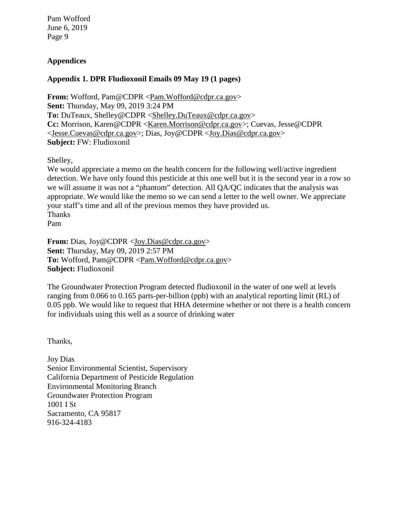# **Appendices**

#### **Appendix 1. DPR Fludioxonil Emails 09 May 19 (1 pages)**

**From:** Wofford, Pam@CDPR [<Pam.Wofford@cdpr.ca.gov>](mailto:Pam.Wofford@cdpr.ca.gov) **Sent:** Thursday, May 09, 2019 3:24 PM **To:** DuTeaux, Shelley@CDPR [<Shelley.DuTeaux@cdpr.ca.gov>](mailto:Shelley.DuTeaux@cdpr.ca.gov) **Cc:** Morrison, Karen@CDPR [<Karen.Morrison@cdpr.ca.gov>](mailto:Karen.Morrison@cdpr.ca.gov); Cuevas, Jesse@CDPR [<Jesse.Cuevas@cdpr.ca.gov>](mailto:Jesse.Cuevas@cdpr.ca.gov); Dias, Joy@CDPR [<Joy.Dias@cdpr.ca.gov>](mailto:Joy.Dias@cdpr.ca.gov) **Subject:** FW: Fludioxonil

Shelley,

We would appreciate a memo on the health concern for the following well/active ingredient detection. We have only found this pesticide at this one well but it is the second year in a row so we will assume it was not a "phantom" detection. All QA/QC indicates that the analysis was appropriate. We would like the memo so we can send a letter to the well owner. We appreciate your staff's time and all of the previous memos they have provided us. Thanks Pam

**From:** Dias, Joy@CDPR [<Joy.Dias@cdpr.ca.gov>](mailto:Joy.Dias@cdpr.ca.gov) **Sent:** Thursday, May 09, 2019 2:57 PM **To:** Wofford, Pam@CDPR [<Pam.Wofford@cdpr.ca.gov>](mailto:Pam.Wofford@cdpr.ca.gov) **Subject:** Fludioxonil

The Groundwater Protection Program detected fludioxonil in the water of one well at levels ranging from 0.066 to 0.165 parts-per-billion (ppb) with an analytical reporting limit (RL) of 0.05 ppb. We would like to request that HHA determine whether or not there is a health concern for individuals using this well as a source of drinking water

Thanks,

Joy Dias Senior Environmental Scientist, Supervisory California Department of Pesticide Regulation Environmental Monitoring Branch Groundwater Protection Program 1001 I St Sacramento, CA 95817 916-324-4183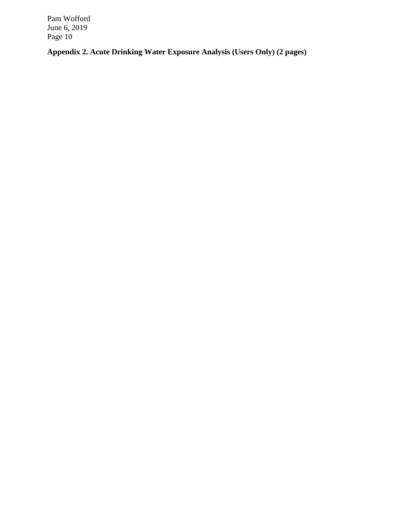**Appendix 2. Acute Drinking Water Exposure Analysis (Users Only) (2 pages)**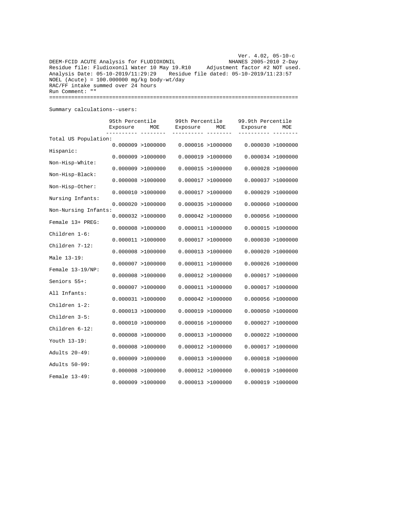Ver. 4.02, 05-10-c DEEM-FCID ACUTE Analysis for FLUDIOXONIL NHANES 2005-2010 2-Day Residue file: Fludioxonil Water 10 May 19.R10 Adjustment factor #2 NOT used. Analysis Date: 05-10-2019/11:29:29 Residue file dated: 05-10-2019/11:23:57  $NOEL$  (Acute) = 100.000000 mg/kg body-wt/day RAC/FF intake summed over 24 hours Run Comment: "" ===============================================================================

Summary calculations--users:

|                      | 95th Percentile<br>Exposure | MOE                 | 99th Percentile<br>Exposure | MOE                | 99.9th Percentile<br>Exposure | MOE                |
|----------------------|-----------------------------|---------------------|-----------------------------|--------------------|-------------------------------|--------------------|
|                      |                             |                     |                             |                    |                               |                    |
| Total US Population: |                             | $0.000009$ >1000000 |                             | 0.000016 > 1000000 | 0.000030 > 1000000            |                    |
| Hispanic:            |                             | $0.000009$ >1000000 |                             | 0.000019 > 1000000 |                               | 0.000034 > 1000000 |
| Non-Hisp-White:      |                             | 0.000009 > 1000000  |                             | 0.000015 > 1000000 | 0.000028 > 1000000            |                    |
| Non-Hisp-Black:      |                             | $0.000008$ >1000000 |                             | 0.000017 > 1000000 | 0.000037 > 1000000            |                    |
| Non-Hisp-Other:      |                             | 0.000010 > 1000000  |                             | 0.000017 > 1000000 | 0.000029 > 1000000            |                    |
| Nursing Infants:     |                             | 0.000020 > 1000000  |                             | 0.000035 > 1000000 | 0.000060 > 1000000            |                    |
| Non-Nursing Infants: |                             | 0.000032 > 1000000  |                             | 0.000042 > 1000000 |                               | 0.000056 >1000000  |
| Female 13+ PREG:     |                             | $0.000008$ >1000000 |                             | 0.000011 > 1000000 | 0.000015 > 1000000            |                    |
| Children 1-6:        |                             | 0.000011 > 1000000  |                             | 0.000017 > 1000000 | 0.000030 > 1000000            |                    |
| Children 7-12:       |                             | 0.000008 > 1000000  |                             | 0.000013 > 1000000 | 0.000020 > 1000000            |                    |
| Male 13-19:          |                             | 0.000007 > 1000000  |                             | 0.000011 > 1000000 |                               | 0.000026 >1000000  |
| Female 13-19/NP:     |                             | $0.000008$ >1000000 |                             | 0.000012 > 1000000 |                               | 0.000017 > 1000000 |
| Seniors 55+:         |                             | 0.000007 > 1000000  |                             | 0.000011 > 1000000 | 0.000017 > 1000000            |                    |
| All Infants:         |                             | 0.000031 > 1000000  |                             | 0.000042 > 1000000 | 0.000056 > 1000000            |                    |
| Children 1-2:        |                             | 0.000013 > 1000000  |                             | 0.000019 > 1000000 |                               | 0.000050 > 1000000 |
| Children 3-5:        |                             | 0.000010 > 1000000  |                             | 0.000016 > 1000000 | 0.000027 > 1000000            |                    |
| Children 6-12:       |                             | $0.000008$ >1000000 |                             | 0.000013 > 1000000 | 0.000022 > 1000000            |                    |
| Youth 13-19:         |                             | $0.000008$ >1000000 |                             | 0.000012 > 1000000 | 0.000017 > 1000000            |                    |
| Adults 20-49:        |                             | 0.000009 > 1000000  |                             | 0.000013 > 1000000 | 0.000018 > 1000000            |                    |
| Adults 50-99:        |                             |                     |                             |                    |                               |                    |
| Female 13-49:        |                             | $0.000008$ >1000000 |                             | 0.000012 > 1000000 | 0.000019 > 1000000            |                    |
|                      | $0.000009$ >1000000         |                     |                             | 0.000013 > 1000000 | 0.000019 > 1000000            |                    |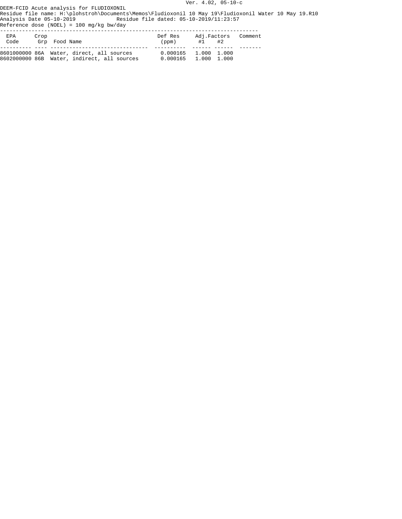Ver. 4.02, 05-10-c

DEEM-FCID Acute analysis for FLUDIOXONIL Residue file name: H:\plohstroh\Documents\Memos\Fludioxonil 10 May 19\Fludioxonil Water 10 May 19.R10 Analysis Date 05-10-2019 Residue file dated: 05-10-2019/11:23:57

Reference dose (NOEL) = 100 mg/kg bw/day

| EPA<br>Code | Crop | Grp Food Name                                                                            | Def Res<br>(ppm)                               | Adj.Factors<br>$#1$ $#2$ | Comment |
|-------------|------|------------------------------------------------------------------------------------------|------------------------------------------------|--------------------------|---------|
|             |      | 8601000000 86A Water, direct, all sources<br>8602000000 86B Water, indirect, all sources | 0.000165 1.000 1.000<br>$0.000165$ 1.000 1.000 |                          |         |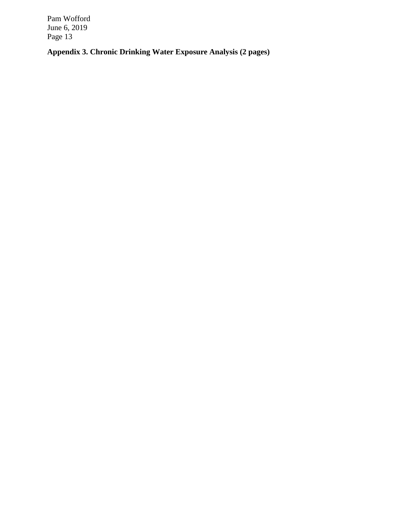**Appendix 3. Chronic Drinking Water Exposure Analysis (2 pages)**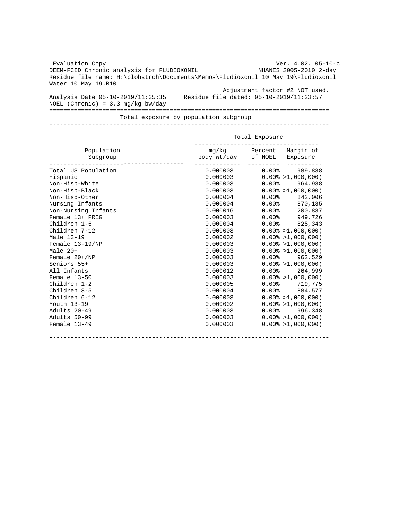Evaluation Copy Ver. 4.02, 05-10-c DEEM-FCID Chronic analysis for FLUDIOXONIL Residue file name: H:\plohstroh\Documents\Memos\Fludioxonil 10 May 19\Fludioxonil Water 10 May 19.R10 Adjustment factor #2 NOT used. Analysis Date 05-10-2019/11:35:35 Residue file dated: 05-10-2019/11:23:57 NOEL (Chronic) =  $3.3 \text{ mg/kg}$  bw/day =============================================================================== Total exposure by population subgroup

-------------------------------------------------------------------------------

|                        | Total Exposure               |            |                             |  |  |
|------------------------|------------------------------|------------|-----------------------------|--|--|
| Population<br>Subgroup | mg/kg<br>body wt/day of NOEL | Percent    | Marqin of<br>Exposure       |  |  |
| Total US Population    | 0.000003                     | $0.00$ $8$ | 989,888                     |  |  |
| Hispanic               | 0.000003                     |            | $0.00\% > 1,000,000$        |  |  |
| Non-Hisp-White         | 0.000003                     | $0.00$ $%$ | 964,988                     |  |  |
| Non-Hisp-Black         | 0.000003                     |            | $0.00\% > 1,000,000$        |  |  |
| Non-Hisp-Other         | 0.000004                     | $0.00$ $8$ | 842,006                     |  |  |
| Nursing Infants        | 0.000004                     | $0.00$ %   | 870,185                     |  |  |
| Non-Nursing Infants    | 0.000016                     | 0.00%      | 200,887                     |  |  |
| Female 13+ PREG        | 0.000003                     | $0.00$ $$$ | 949,726                     |  |  |
| Children 1-6           | 0.000004                     | $0.00$ $8$ | 825,343                     |  |  |
| Children 7-12          | 0.000003                     |            | $0.00\% > 1,000,000$        |  |  |
| Male 13-19             | 0.000002                     |            | $0.00\% > 1,000,000$        |  |  |
| Female 13-19/NP        | 0.000003                     |            | $0.00\% > 1,000,000$        |  |  |
| Male 20+               | 0.000003                     |            | $0.00\% > 1,000,000$        |  |  |
| Female 20+/NP          | 0.000003                     |            | $0.00$ <sup>8</sup> 962,529 |  |  |
| Seniors 55+            | 0.000003                     |            | $0.00\% > 1,000,000$        |  |  |
| All Infants            | 0.000012                     |            | $0.00$ <sup>8</sup> 264.999 |  |  |
| Female 13-50           | 0.000003                     |            | $0.00\% > 1,000,000$        |  |  |
| Children 1-2           | 0.000005                     |            | $0.00$ % 719,775            |  |  |
| Children 3-5           | 0.000004                     | $0.00\%$   | 884,577                     |  |  |
| Children 6-12          | 0.000003                     |            | $0.00\% > 1,000,000$        |  |  |
| Youth 13-19            | 0.000002                     |            | $0.00\% > 1,000,000$        |  |  |
| Adults 20-49           | 0.000003                     |            | $0.00$ <sup>8</sup> 996,348 |  |  |
| Adults 50-99           | 0.000003                     |            | $0.00\% > 1,000,000$        |  |  |
| Female 13-49           | 0.000003                     |            | $0.00\% > 1,000,000$        |  |  |

-------------------------------------------------------------------------------